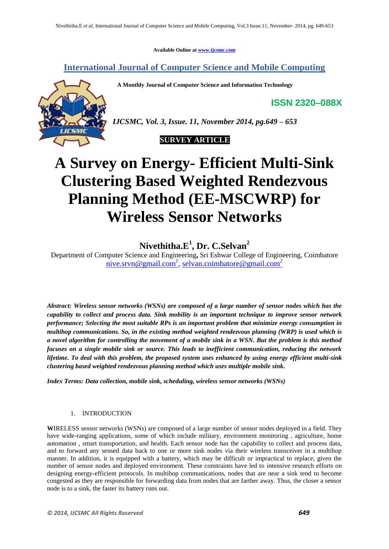**Available Online at www.ijcsmc.com**

**International Journal of Computer Science and Mobile Computing**

 **A Monthly Journal of Computer Science and Information Technology**

**ISSN 2320–088X**



*IJCSMC, Vol. 3, Issue. 11, November 2014, pg.649 – 653*



# **A Survey on Energy- Efficient Multi-Sink Clustering Based Weighted Rendezvous Planning Method (EE-MSCWRP) for Wireless Sensor Networks**

# **Nivethitha.E<sup>1</sup> , Dr. C.Selvan<sup>2</sup>**

Department of Computer Science and Engineering**,** Sri Eshwar College of Engineering, Coimbatore nive.srvn@gmail.com<sup>1</sup>, selvan.coimbatore@gmail.com<sup>2</sup>

*Abstract: Wireless sensor networks (WSNs) are composed of a large number of sensor nodes which has the capability to collect and process data. Sink mobility is an important technique to improve sensor network performance; Selecting the most suitable RPs is an important problem that minimize energy consumption in multihop communications. So, in the existing method weighted rendezvous planning (WRP) is used which is a novel algorithm for controlling the movement of a mobile sink in a WSN. But the problem is this method focuses on a single mobile sink or source. This leads to inefficient communication, reducing the network lifetime. To deal with this problem, the proposed system uses enhanced by using energy efficient multi-sink clustering based weighted rendezvous planning method which uses multiple mobile sink.*

*Index Terms: Data collection, mobile sink, scheduling, wireless sensor networks (WSNs)*

## 1. INTRODUCTION

**W**IRELESS sensor networks (WSNs) are composed of a large number of sensor nodes deployed in a field. They have wide-ranging applications, some of which include military, environment monitoring , agriculture, home automation , smart transportation, and health. Each sensor node has the capability to collect and process data, and to forward any sensed data back to one or more sink nodes via their wireless transceiver in a multihop manner. In addition, it is equipped with a battery, which may be difficult or impractical to replace, given the number of sensor nodes and deployed environment. These constraints have led to intensive research efforts on designing energy-efficient protocols. In multihop communications, nodes that are near a sink tend to become congested as they are responsible for forwarding data from nodes that are farther away. Thus, the closer a sensor node is to a sink, the faster its battery runs out.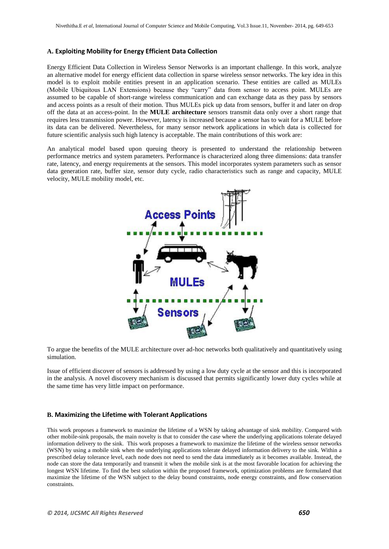#### **A. Exploiting Mobility for Energy Efficient Data Collection**

Energy Efficient Data Collection in Wireless Sensor Networks is an important challenge. In this work, analyze an alternative model for energy efficient data collection in sparse wireless sensor networks. The key idea in this model is to exploit mobile entities present in an application scenario. These entities are called as MULEs (Mobile Ubiquitous LAN Extensions) because they "carry" data from sensor to access point. MULEs are assumed to be capable of short-range wireless communication and can exchange data as they pass by sensors and access points as a result of their motion. Thus MULEs pick up data from sensors, buffer it and later on drop off the data at an access-point. In the **MULE architecture** sensors transmit data only over a short range that requires less transmission power. However, latency is increased because a sensor has to wait for a MULE before its data can be delivered. Nevertheless, for many sensor network applications in which data is collected for future scientific analysis such high latency is acceptable. The main contributions of this work are:

An analytical model based upon queuing theory is presented to understand the relationship between performance metrics and system parameters. Performance is characterized along three dimensions: data transfer rate, latency, and energy requirements at the sensors. This model incorporates system parameters such as sensor data generation rate, buffer size, sensor duty cycle, radio characteristics such as range and capacity, MULE velocity, MULE mobility model, etc.



To argue the benefits of the MULE architecture over ad-hoc networks both qualitatively and quantitatively using simulation.

Issue of efficient discover of sensors is addressed by using a low duty cycle at the sensor and this is incorporated in the analysis. A novel discovery mechanism is discussed that permits significantly lower duty cycles while at the same time has very little impact on performance.

#### **B. Maximizing the Lifetime with Tolerant Applications**

This work proposes a framework to maximize the lifetime of a WSN by taking advantage of sink mobility. Compared with other mobile-sink proposals, the main novelty is that to consider the case where the underlying applications tolerate delayed information delivery to the sink. This work proposes a framework to maximize the lifetime of the wireless sensor networks (WSN) by using a mobile sink when the underlying applications tolerate delayed information delivery to the sink. Within a prescribed delay tolerance level, each node does not need to send the data immediately as it becomes available. Instead, the node can store the data temporarily and transmit it when the mobile sink is at the most favorable location for achieving the longest WSN lifetime. To find the best solution within the proposed framework, optimization problems are formulated that maximize the lifetime of the WSN subject to the delay bound constraints, node energy constraints, and flow conservation constraints.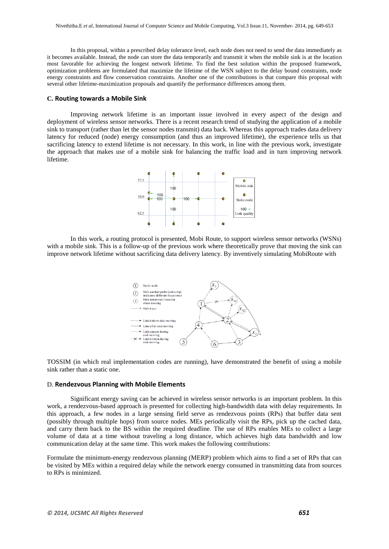In this proposal, within a prescribed delay tolerance level, each node does not need to send the data immediately as it becomes available. Instead, the node can store the data temporarily and transmit it when the mobile sink is at the location most favorable for achieving the longest network lifetime. To find the best solution within the proposed framework, optimization problems are formulated that maximize the lifetime of the WSN subject to the delay bound constraints, node energy constraints and flow conservation constraints. Another one of the contributions is that compare this proposal with several other lifetime-maximization proposals and quantify the performance differences among them.

#### **C. Routing towards a Mobile Sink**

Improving network lifetime is an important issue involved in every aspect of the design and deployment of wireless sensor networks. There is a recent research trend of studying the application of a mobile sink to transport (rather than let the sensor nodes transmit) data back. Whereas this approach trades data delivery latency for reduced (node) energy consumption (and thus an improved lifetime), the experience tells us that sacrificing latency to extend lifetime is not necessary. In this work, in line with the previous work, investigate the approach that makes use of a mobile sink for balancing the traffic load and in turn improving network lifetime.



In this work, a routing protocol is presented, Mobi Route, to support wireless sensor networks (WSNs) with a mobile sink. This is a follow-up of the previous work where theoretically prove that moving the sink can improve network lifetime without sacrificing data delivery latency. By inventively simulating MobiRoute with



TOSSIM (in which real implementation codes are running), have demonstrated the benefit of using a mobile sink rather than a static one.

#### D. **Rendezvous Planning with Mobile Elements**

Significant energy saving can be achieved in wireless sensor networks is an important problem. In this work, a rendezvous-based approach is presented for collecting high-bandwidth data with delay requirements. In this approach, a few nodes in a large sensing field serve as rendezvous points (RPs) that buffer data sent (possibly through multiple hops) from source nodes. MEs periodically visit the RPs, pick up the cached data, and carry them back to the BS within the required deadline. The use of RPs enables MEs to collect a large volume of data at a time without traveling a long distance, which achieves high data bandwidth and low communication delay at the same time. This work makes the following contributions:

Formulate the minimum-energy rendezvous planning (MERP) problem which aims to find a set of RPs that can be visited by MEs within a required delay while the network energy consumed in transmitting data from sources to RPs is minimized.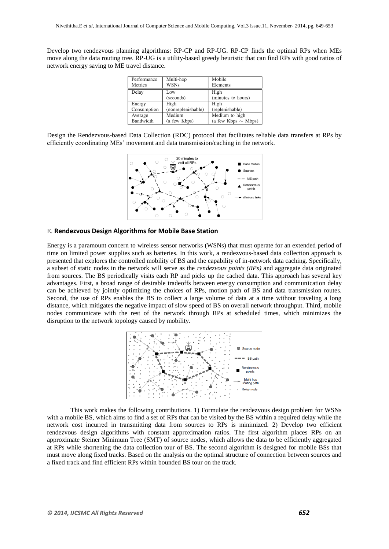Develop two rendezvous planning algorithms: RP-CP and RP-UG. RP-CP finds the optimal RPs when MEs move along the data routing tree. RP-UG is a utility-based greedy heuristic that can find RPs with good ratios of network energy saving to ME travel distance.

| Performance | Multi-hop          | Mobile                   |
|-------------|--------------------|--------------------------|
| Metrics     | <b>WSNs</b>        | Elements                 |
| Delay       | Low                | High                     |
|             | (seconds)          | (minutes to hours)       |
| Energy      | High               | High                     |
| Consumption | (nonreplenishable) | (replenishable)          |
| Average     | Medium             | Medium to high           |
| Bandwidth   | (a few Kbps)       | (a few Kbps $\sim$ Mbps) |

Design the Rendezvous-based Data Collection (RDC) protocol that facilitates reliable data transfers at RPs by efficiently coordinating MEs' movement and data transmission/caching in the network.



#### E. **Rendezvous Design Algorithms for Mobile Base Station**

Energy is a paramount concern to wireless sensor networks (WSNs) that must operate for an extended period of time on limited power supplies such as batteries. In this work, a rendezvous-based data collection approach is presented that explores the controlled mobility of BS and the capability of in-network data caching. Specifically, a subset of static nodes in the network will serve as the *rendezvous points (RPs)* and aggregate data originated from sources. The BS periodically visits each RP and picks up the cached data. This approach has several key advantages. First, a broad range of desirable tradeoffs between energy consumption and communication delay can be achieved by jointly optimizing the choices of RPs, motion path of BS and data transmission routes. Second, the use of RPs enables the BS to collect a large volume of data at a time without traveling a long distance, which mitigates the negative impact of slow speed of BS on overall network throughput. Third, mobile nodes communicate with the rest of the network through RPs at scheduled times, which minimizes the disruption to the network topology caused by mobility.



This work makes the following contributions. 1) Formulate the rendezvous design problem for WSNs with a mobile BS, which aims to find a set of RPs that can be visited by the BS within a required delay while the network cost incurred in transmitting data from sources to RPs is minimized. 2) Develop two efficient rendezvous design algorithms with constant approximation ratios. The first algorithm places RPs on an approximate Steiner Minimum Tree (SMT) of source nodes, which allows the data to be efficiently aggregated at RPs while shortening the data collection tour of BS. The second algorithm is designed for mobile BSs that must move along fixed tracks. Based on the analysis on the optimal structure of connection between sources and a fixed track and find efficient RPs within bounded BS tour on the track.